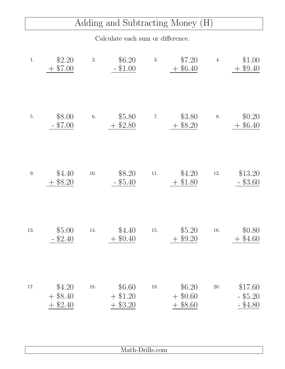## Adding and Subtracting Money (H)

Calculate each sum or difference.

| $1.$ | \$2.20<br>\$7.00<br>$+$               | 2.       | \$6.20<br>$-$ \$1.00           | 3.       | \$7.20<br>$+$ \$6.40               | 4.       | \$1.00<br>$+$ \$9.40                |
|------|---------------------------------------|----------|--------------------------------|----------|------------------------------------|----------|-------------------------------------|
| 5.   | \$8.00<br>\$7.00                      | $6. \,$  | \$5.80<br>\$2.80               | 7.       | \$3.80<br>$+$ \$8.20               | 8.       | \$0.20<br>\$6.40                    |
| 9.   | \$4.40<br>\$8.20                      | $10. \,$ | \$8.20<br>$-$ \$5.40           | $11. \,$ | \$4.20<br>\$1.80                   | $12. \,$ | \$13.20<br>$-$ \$3.60               |
| 13.  | \$5.00<br>$-$ \$2.40                  | 14.      | \$4.40<br>$+$ \$0.40           | 15.      | \$5.20<br>$+$ \$9.20               | 16.      | \$0.80<br>$+$ \$4.60                |
| 17.  | \$4.20<br>$+$ \$8.40<br>\$2.40<br>$+$ | 18.      | \$6.60<br>$+$ \$1.20<br>\$3.20 | 19.      | \$6.20<br>$+$ \$0.60<br>$+$ \$8.60 | 20.      | \$17.60<br>$-$ \$5.20<br>$-$ \$4.80 |